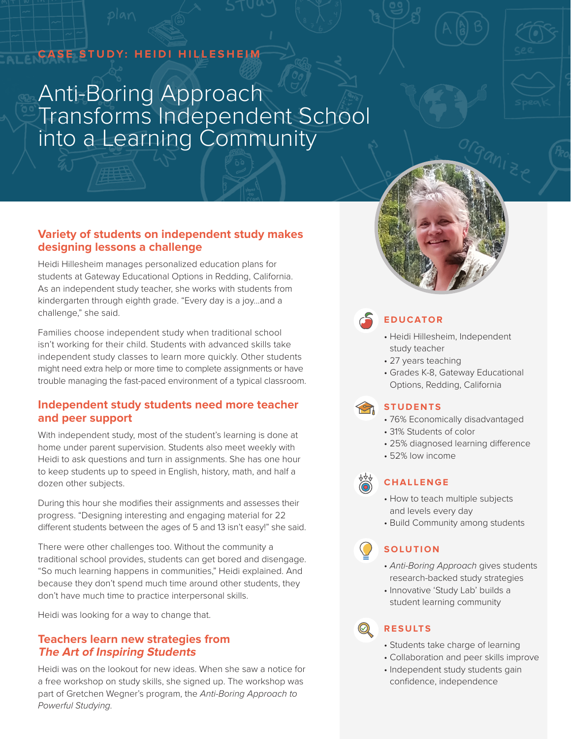# **CASE STUDY: HEIDI HILLESHEIM**

# Anti-Boring Approach Transforms Independent School into a Learning Community



## **Variety of students on independent study makes designing lessons a challenge**

Heidi Hillesheim manages personalized education plans for students at Gateway Educational Options in Redding, California. As an independent study teacher, she works with students from kindergarten through eighth grade. "Every day is a joy...and a challenge," she said.

Families choose independent study when traditional school isn't working for their child. Students with advanced skills take independent study classes to learn more quickly. Other students might need extra help or more time to complete assignments or have trouble managing the fast-paced environment of a typical classroom.

## **Independent study students need more teacher and peer support**

With independent study, most of the student's learning is done at home under parent supervision. Students also meet weekly with Heidi to ask questions and turn in assignments. She has one hour to keep students up to speed in English, history, math, and half a dozen other subjects.

During this hour she modifies their assignments and assesses their progress. "Designing interesting and engaging material for 22 different students between the ages of 5 and 13 isn't easy!" she said.

There were other challenges too. Without the community a traditional school provides, students can get bored and disengage. "So much learning happens in communities," Heidi explained. And because they don't spend much time around other students, they don't have much time to practice interpersonal skills.

Heidi was looking for a way to change that.

#### **Teachers learn new strategies from The Art of Inspiring Students**

Heidi was on the lookout for new ideas. When she saw a notice for a free workshop on study skills, she signed up. The workshop was part of Gretchen Wegner's program, the *Anti-Boring Approach to Powerful Studying.* 

# **EDUCATOR**

- Heidi Hillesheim, Independent study teacher
- 27 years teaching
- Grades K-8, Gateway Educational Options, Redding, California

# **STUDENTS**

- 76% Economically disadvantaged
- 31% Students of color
- 25% diagnosed learning difference
- 52% low income



## **CHALLENGE**

- How to teach multiple subjects and levels every day
- Build Community among students

# **SOLUTION**

- *Anti-Boring Approach* gives students research-backed study strategies
- Innovative 'Study Lab' builds a student learning community

# **RESULTS**

- Students take charge of learning
- Collaboration and peer skills improve
- Independent study students gain confidence, independence